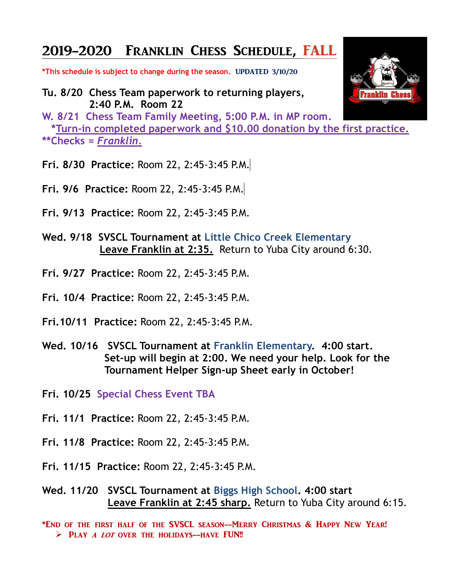## 2019-2020 Franklin Chess Schedule, FALL

**\*This schedule is subject to change during the season.** UPDATED 3/10/20

**Tu. 8/20 Chess Team paperwork to returning players, 2:40 P.M. Room 22**

**W. 8/21 Chess Team Family Meeting, 5:00 P.M. in MP room. \*Turn-in completed paperwork and \$10.00 donation by the first practice. \*\*Checks =** *Franklin.*

- **Fri. 8/30 Practice:** Room 22, 2:45-3:45 P.M.
- **Fri. 9/6 Practice:** Room 22, 2:45-3:45 P.M.
- **Fri. 9/13 Practice:** Room 22, 2:45-3:45 P.M.
- **Wed. 9/18 SVSCL Tournament at Little Chico Creek Elementary Leave Franklin at 2:35.** Return to Yuba City around 6:30.
- **Fri. 9/27 Practice:** Room 22, 2:45-3:45 P.M.
- **Fri. 10/4 Practice:** Room 22, 2:45-3:45 P.M.
- **Fri.10/11 Practice:** Room 22, 2:45-3:45 P.M.
- **Wed. 10/16 SVSCL Tournament at Franklin Elementary. 4:00 start. Set-up will begin at 2:00. We need your help. Look for the Tournament Helper Sign-up Sheet early in October!**

**Fri. 10/25 Special Chess Event TBA**

- **Fri. 11/1 Practice:** Room 22, 2:45-3:45 P.M.
- **Fri. 11/8 Practice:** Room 22, 2:45-3:45 P.M.
- **Fri. 11/15 Practice:** Room 22, 2:45-3:45 P.M.

**Wed. 11/20 SVSCL Tournament at Biggs High School. 4:00 start Leave Franklin at 2:45 sharp.** Return to Yuba City around 6:15.

\*End of the first half of the SVSCL season--Merry Christmas & Happy New Year!  $\triangleright$  PLAY A LOT OVER THE HOLIDAYS--HAVE FUN!!